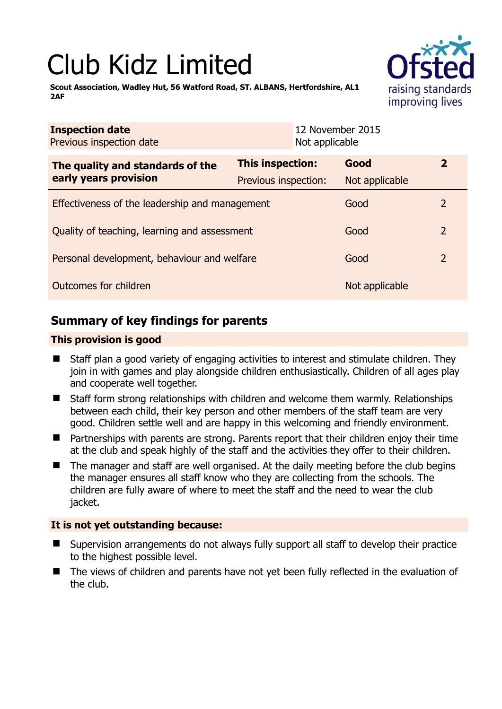# Club Kidz Limited

**Scout Association, Wadley Hut, 56 Watford Road, ST. ALBANS, Hertfordshire, AL1 2AF** 

| <b>Inspection date</b><br>Previous inspection date |                         | 12 November 2015<br>Not applicable |                |                |  |
|----------------------------------------------------|-------------------------|------------------------------------|----------------|----------------|--|
| The quality and standards of the                   | <b>This inspection:</b> |                                    | Good           | $\mathbf{2}$   |  |
| early years provision                              | Previous inspection:    |                                    | Not applicable |                |  |
| Effectiveness of the leadership and management     |                         |                                    | Good           | 2              |  |
| Quality of teaching, learning and assessment       |                         |                                    | Good           | 2              |  |
| Personal development, behaviour and welfare        |                         |                                    | Good           | $\overline{2}$ |  |
| Outcomes for children                              |                         |                                    | Not applicable |                |  |

# **Summary of key findings for parents**

## **This provision is good**

- Staff plan a good variety of engaging activities to interest and stimulate children. They join in with games and play alongside children enthusiastically. Children of all ages play and cooperate well together.
- Staff form strong relationships with children and welcome them warmly. Relationships between each child, their key person and other members of the staff team are very good. Children settle well and are happy in this welcoming and friendly environment.
- Partnerships with parents are strong. Parents report that their children enjoy their time at the club and speak highly of the staff and the activities they offer to their children.
- The manager and staff are well organised. At the daily meeting before the club begins the manager ensures all staff know who they are collecting from the schools. The children are fully aware of where to meet the staff and the need to wear the club jacket.

## **It is not yet outstanding because:**

- Supervision arrangements do not always fully support all staff to develop their practice to the highest possible level.
- The views of children and parents have not yet been fully reflected in the evaluation of the club.

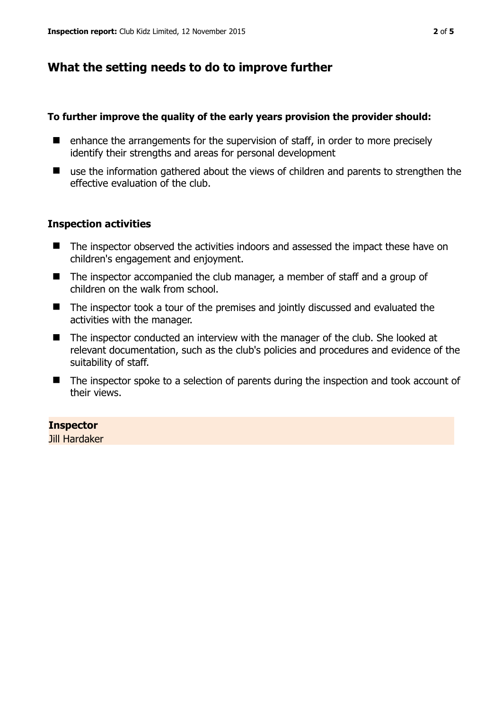# **What the setting needs to do to improve further**

### **To further improve the quality of the early years provision the provider should:**

- $\blacksquare$  enhance the arrangements for the supervision of staff, in order to more precisely identify their strengths and areas for personal development
- use the information gathered about the views of children and parents to strengthen the effective evaluation of the club.

### **Inspection activities**

- The inspector observed the activities indoors and assessed the impact these have on children's engagement and enjoyment.
- The inspector accompanied the club manager, a member of staff and a group of children on the walk from school.
- The inspector took a tour of the premises and jointly discussed and evaluated the activities with the manager.
- The inspector conducted an interview with the manager of the club. She looked at relevant documentation, such as the club's policies and procedures and evidence of the suitability of staff.
- The inspector spoke to a selection of parents during the inspection and took account of their views.

### **Inspector**

Jill Hardaker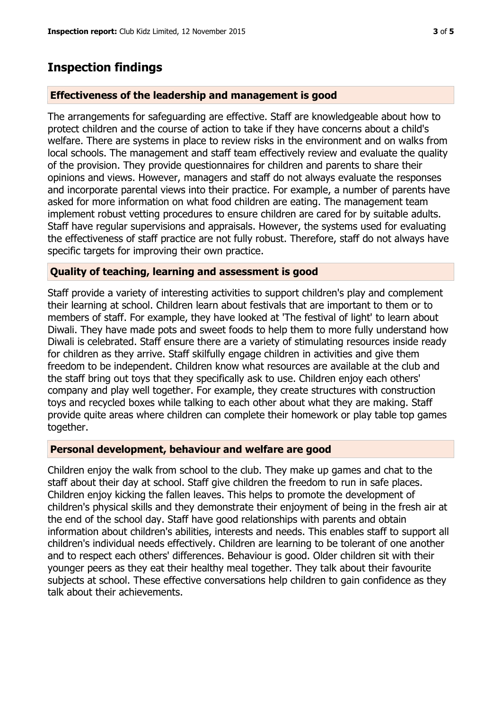## **Inspection findings**

#### **Effectiveness of the leadership and management is good**

The arrangements for safeguarding are effective. Staff are knowledgeable about how to protect children and the course of action to take if they have concerns about a child's welfare. There are systems in place to review risks in the environment and on walks from local schools. The management and staff team effectively review and evaluate the quality of the provision. They provide questionnaires for children and parents to share their opinions and views. However, managers and staff do not always evaluate the responses and incorporate parental views into their practice. For example, a number of parents have asked for more information on what food children are eating. The management team implement robust vetting procedures to ensure children are cared for by suitable adults. Staff have regular supervisions and appraisals. However, the systems used for evaluating the effectiveness of staff practice are not fully robust. Therefore, staff do not always have specific targets for improving their own practice.

#### **Quality of teaching, learning and assessment is good**

Staff provide a variety of interesting activities to support children's play and complement their learning at school. Children learn about festivals that are important to them or to members of staff. For example, they have looked at 'The festival of light' to learn about Diwali. They have made pots and sweet foods to help them to more fully understand how Diwali is celebrated. Staff ensure there are a variety of stimulating resources inside ready for children as they arrive. Staff skilfully engage children in activities and give them freedom to be independent. Children know what resources are available at the club and the staff bring out toys that they specifically ask to use. Children enjoy each others' company and play well together. For example, they create structures with construction toys and recycled boxes while talking to each other about what they are making. Staff provide quite areas where children can complete their homework or play table top games together.

#### **Personal development, behaviour and welfare are good**

Children enjoy the walk from school to the club. They make up games and chat to the staff about their day at school. Staff give children the freedom to run in safe places. Children enjoy kicking the fallen leaves. This helps to promote the development of children's physical skills and they demonstrate their enjoyment of being in the fresh air at the end of the school day. Staff have good relationships with parents and obtain information about children's abilities, interests and needs. This enables staff to support all children's individual needs effectively. Children are learning to be tolerant of one another and to respect each others' differences. Behaviour is good. Older children sit with their younger peers as they eat their healthy meal together. They talk about their favourite subjects at school. These effective conversations help children to gain confidence as they talk about their achievements.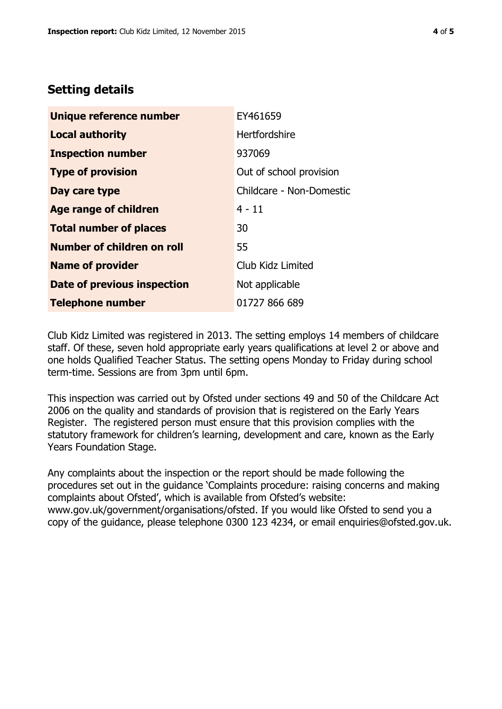# **Setting details**

| Unique reference number       | EY461659                 |  |
|-------------------------------|--------------------------|--|
| <b>Local authority</b>        | <b>Hertfordshire</b>     |  |
| <b>Inspection number</b>      | 937069                   |  |
| <b>Type of provision</b>      | Out of school provision  |  |
| Day care type                 | Childcare - Non-Domestic |  |
| <b>Age range of children</b>  | $4 - 11$                 |  |
| <b>Total number of places</b> | 30                       |  |
| Number of children on roll    | 55                       |  |
| <b>Name of provider</b>       | Club Kidz Limited        |  |
| Date of previous inspection   | Not applicable           |  |
| <b>Telephone number</b>       | 01727 866 689            |  |

Club Kidz Limited was registered in 2013. The setting employs 14 members of childcare staff. Of these, seven hold appropriate early years qualifications at level 2 or above and one holds Qualified Teacher Status. The setting opens Monday to Friday during school term-time. Sessions are from 3pm until 6pm.

This inspection was carried out by Ofsted under sections 49 and 50 of the Childcare Act 2006 on the quality and standards of provision that is registered on the Early Years Register. The registered person must ensure that this provision complies with the statutory framework for children's learning, development and care, known as the Early Years Foundation Stage.

Any complaints about the inspection or the report should be made following the procedures set out in the guidance 'Complaints procedure: raising concerns and making complaints about Ofsted', which is available from Ofsted's website: www.gov.uk/government/organisations/ofsted. If you would like Ofsted to send you a copy of the guidance, please telephone 0300 123 4234, or email enquiries@ofsted.gov.uk.